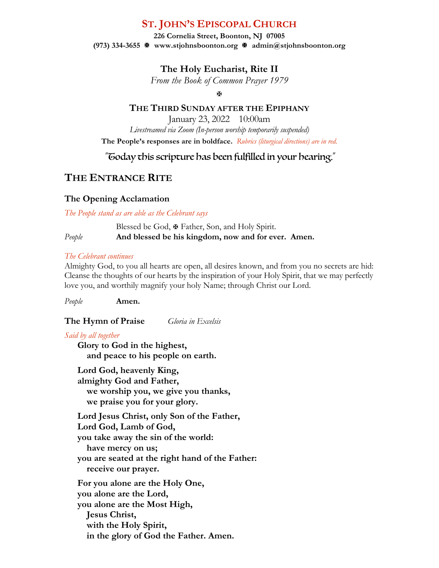# **ST. JOHN'S EPISCOPAL CHURCH**

**226 Cornelia Street, Boonton, NJ 07005 (973) 334-3655** X **www.stjohnsboonton.org** X **admin@stjohnsboonton.org**

**The Holy Eucharist, Rite II**

*From the Book of Common Prayer 1979*

 $\overline{M}$ 

## **THE THIRD SUNDAY AFTER THE EPIPHANY**

January 23, 2022 10:00am *Livestreamed via Zoom (In-person worship temporarily suspended)* **The People's responses are in boldface.** *Rubrics (liturgical directions) are in red.*

"Today this scripture has been fulfilled in your hearing."

# **THE ENTRANCE RITE**

# **The Opening Acclamation**

*The People stand as are able as the Celebrant says*

Blessed be God,  $\mathbf{\Psi}$  Father, Son, and Holy Spirit. *People* **And blessed be his kingdom, now and for ever. Amen.**

### *The Celebrant continues*

Almighty God, to you all hearts are open, all desires known, and from you no secrets are hid: Cleanse the thoughts of our hearts by the inspiration of your Holy Spirit, that we may perfectly love you, and worthily magnify your holy Name; through Christ our Lord.

*People* **Amen.**

**The Hymn of Praise** *Gloria in Excelsis*

### *Said by all together*

**Glory to God in the highest, and peace to his people on earth.**

**Lord God, heavenly King, almighty God and Father, we worship you, we give you thanks, we praise you for your glory. Lord Jesus Christ, only Son of the Father, Lord God, Lamb of God, you take away the sin of the world: have mercy on us;**

**you are seated at the right hand of the Father: receive our prayer.**

**For you alone are the Holy One, you alone are the Lord, you alone are the Most High, Jesus Christ, with the Holy Spirit, in the glory of God the Father. Amen.**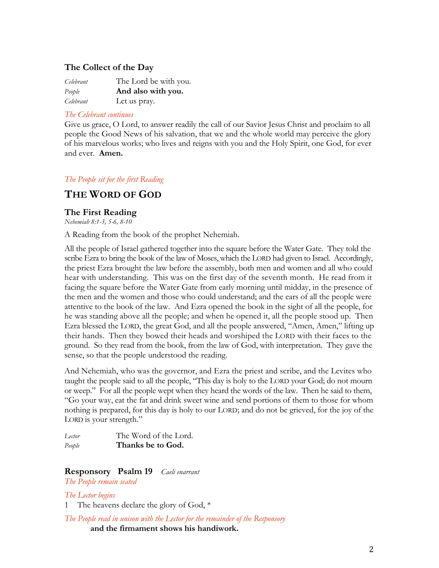## **The Collect of the Day**

| Celebrant | The Lord be with you. |
|-----------|-----------------------|
| People    | And also with you.    |
| Celebrant | Let us pray.          |

#### *The Celebrant continues*

Give us grace, O Lord, to answer readily the call of our Savior Jesus Christ and proclaim to all people the Good News of his salvation, that we and the whole world may perceive the glory of his marvelous works; who lives and reigns with you and the Holy Spirit, one God, for ever and ever. **Amen.**

### *The People sit for the first Reading*

# **THE WORD OF GOD**

### **The First Reading**

*Nehemiah 8:1-3, 5-6, 8-10*

A Reading from the book of the prophet Nehemiah.

All the people of Israel gathered together into the square before the Water Gate. They told the scribe Ezra to bring the book of the law of Moses, which the LORD had given to Israel. Accordingly, the priest Ezra brought the law before the assembly, both men and women and all who could hear with understanding. This was on the first day of the seventh month. He read from it facing the square before the Water Gate from early morning until midday, in the presence of the men and the women and those who could understand; and the ears of all the people were attentive to the book of the law. And Ezra opened the book in the sight of all the people, for he was standing above all the people; and when he opened it, all the people stood up. Then Ezra blessed the LORD, the great God, and all the people answered, "Amen, Amen," lifting up their hands. Then they bowed their heads and worshiped the LORD with their faces to the ground. So they read from the book, from the law of God, with interpretation. They gave the sense, so that the people understood the reading.

And Nehemiah, who was the governor, and Ezra the priest and scribe, and the Levites who taught the people said to all the people, "This day is holy to the LORD your God; do not mourn or weep." For all the people wept when they heard the words of the law. Then he said to them, "Go your way, eat the fat and drink sweet wine and send portions of them to those for whom nothing is prepared, for this day is holy to our LORD; and do not be grieved, for the joy of the LORD is your strength."

| Lector | The Word of the Lord. |
|--------|-----------------------|
| People | Thanks be to God.     |

**Responsory Psalm 19** *Caeli enarrant* 

*The People remain seated*

*The Lector begins*

The heavens declare the glory of God, \*

*The People read in unison with the Lector for the remainder of the Responsory* **and the firmament shows his handiwork.**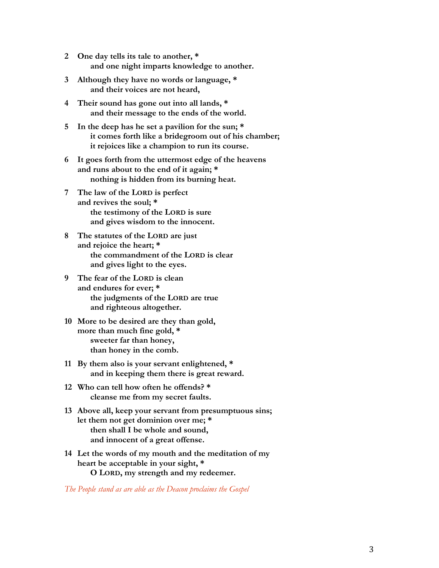- **2 One day tells its tale to another, \* and one night imparts knowledge to another.**
- **3 Although they have no words or language, \* and their voices are not heard,**
- **4 Their sound has gone out into all lands, \* and their message to the ends of the world.**
- **5 In the deep has he set a pavilion for the sun; \* it comes forth like a bridegroom out of his chamber; it rejoices like a champion to run its course.**
- **6 It goes forth from the uttermost edge of the heavens and runs about to the end of it again; \* nothing is hidden from its burning heat.**
- **7 The law of the LORD is perfect and revives the soul; \* the testimony of the LORD is sure and gives wisdom to the innocent.**
- **8 The statutes of the LORD are just and rejoice the heart; \* the commandment of the LORD is clear and gives light to the eyes.**
- **9 The fear of the LORD is clean and endures for ever; \* the judgments of the LORD are true and righteous altogether.**
- **10 More to be desired are they than gold, more than much fine gold, \* sweeter far than honey, than honey in the comb.**
- **11 By them also is your servant enlightened, \* and in keeping them there is great reward.**
- **12 Who can tell how often he offends? \* cleanse me from my secret faults.**
- **13 Above all, keep your servant from presumptuous sins; let them not get dominion over me; \* then shall I be whole and sound, and innocent of a great offense.**
- **14 Let the words of my mouth and the meditation of my heart be acceptable in your sight, \* O LORD, my strength and my redeemer.**

*The People stand as are able as the Deacon proclaims the Gospel*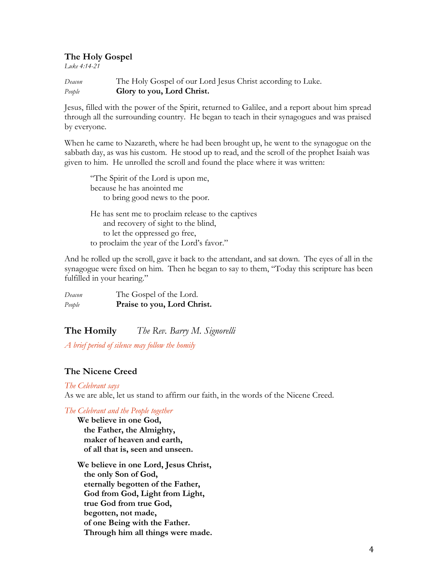#### **The Holy Gospel**

*Luke 4:14-21*

| Deacon | The Holy Gospel of our Lord Jesus Christ according to Luke. |
|--------|-------------------------------------------------------------|
| People | Glory to you, Lord Christ.                                  |

Jesus, filled with the power of the Spirit, returned to Galilee, and a report about him spread through all the surrounding country. He began to teach in their synagogues and was praised by everyone.

When he came to Nazareth, where he had been brought up, he went to the synagogue on the sabbath day, as was his custom. He stood up to read, and the scroll of the prophet Isaiah was given to him. He unrolled the scroll and found the place where it was written:

"The Spirit of the Lord is upon me, because he has anointed me to bring good news to the poor. He has sent me to proclaim release to the captives and recovery of sight to the blind, to let the oppressed go free, to proclaim the year of the Lord's favor."

And he rolled up the scroll, gave it back to the attendant, and sat down. The eyes of all in the synagogue were fixed on him. Then he began to say to them, "Today this scripture has been fulfilled in your hearing."

*Deacon* The Gospel of the Lord. *People* **Praise to you, Lord Christ.**

**The Homily** *The Rev. Barry M. Signorelli*

*A brief period of silence may follow the homily*

### **The Nicene Creed**

#### *The Celebrant says*

As we are able, let us stand to affirm our faith, in the words of the Nicene Creed.

*The Celebrant and the People together*

**We believe in one God, the Father, the Almighty, maker of heaven and earth, of all that is, seen and unseen.**

**We believe in one Lord, Jesus Christ, the only Son of God, eternally begotten of the Father, God from God, Light from Light, true God from true God, begotten, not made, of one Being with the Father. Through him all things were made.**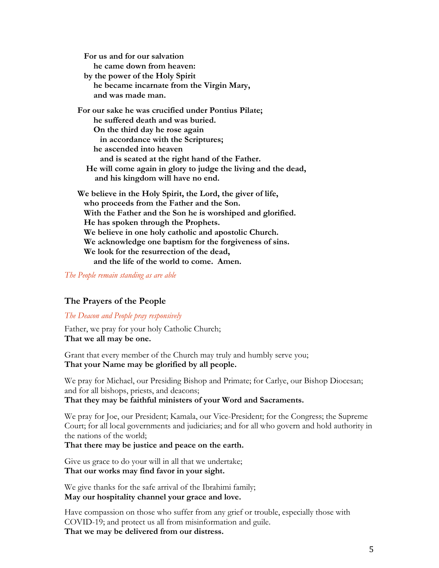**For us and for our salvation he came down from heaven: by the power of the Holy Spirit he became incarnate from the Virgin Mary, and was made man. For our sake he was crucified under Pontius Pilate; he suffered death and was buried. On the third day he rose again in accordance with the Scriptures; he ascended into heaven and is seated at the right hand of the Father. He will come again in glory to judge the living and the dead, and his kingdom will have no end. We believe in the Holy Spirit, the Lord, the giver of life, who proceeds from the Father and the Son. With the Father and the Son he is worshiped and glorified. He has spoken through the Prophets. We believe in one holy catholic and apostolic Church. We acknowledge one baptism for the forgiveness of sins.**

**and the life of the world to come. Amen.**

**We look for the resurrection of the dead,**

*The People remain standing as are able*

### **The Prayers of the People**

#### *The Deacon and People pray responsively*

Father, we pray for your holy Catholic Church; **That we all may be one.**

Grant that every member of the Church may truly and humbly serve you; **That your Name may be glorified by all people.**

We pray for Michael, our Presiding Bishop and Primate; for Carlye, our Bishop Diocesan; and for all bishops, priests, and deacons;

**That they may be faithful ministers of your Word and Sacraments.**

We pray for Joe, our President; Kamala, our Vice-President; for the Congress; the Supreme Court; for all local governments and judiciaries; and for all who govern and hold authority in the nations of the world;

### **That there may be justice and peace on the earth.**

Give us grace to do your will in all that we undertake; **That our works may find favor in your sight.**

We give thanks for the safe arrival of the Ibrahimi family; **May our hospitality channel your grace and love.**

Have compassion on those who suffer from any grief or trouble, especially those with COVID-19; and protect us all from misinformation and guile. **That we may be delivered from our distress.**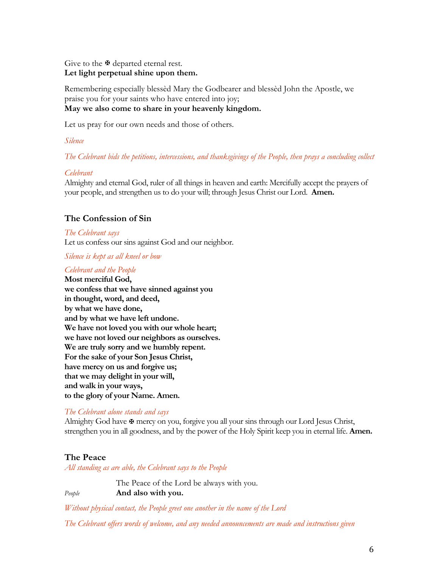Give to the  $\mathbb F$  departed eternal rest. **Let light perpetual shine upon them.**

Remembering especially blessèd Mary the Godbearer and blessèd John the Apostle, we praise you for your saints who have entered into joy; **May we also come to share in your heavenly kingdom.**

Let us pray for our own needs and those of others.

*Silence*

*The Celebrant bids the petitions, intercessions, and thanksgivings of the People, then prays a concluding collect*

#### *Celebrant*

Almighty and eternal God, ruler of all things in heaven and earth: Mercifully accept the prayers of your people, and strengthen us to do your will; through Jesus Christ our Lord. **Amen.**

### **The Confession of Sin**

*The Celebrant says* Let us confess our sins against God and our neighbor.

*Silence is kept as all kneel or bow*

#### *Celebrant and the People*

**Most merciful God, we confess that we have sinned against you in thought, word, and deed, by what we have done, and by what we have left undone. We have not loved you with our whole heart; we have not loved our neighbors as ourselves. We are truly sorry and we humbly repent. For the sake of your Son Jesus Christ, have mercy on us and forgive us; that we may delight in your will, and walk in your ways, to the glory of your Name. Amen.**

### *The Celebrant alone stands and says*

Almighty God have  $\mathbf{\Psi}$  mercy on you, forgive you all your sins through our Lord Jesus Christ, strengthen you in all goodness, and by the power of the Holy Spirit keep you in eternal life. **Amen.**

### **The Peace**

*All standing as are able, the Celebrant says to the People*

The Peace of the Lord be always with you. *People* **And also with you.**

*Without physical contact, the People greet one another in the name of the Lord*

*The Celebrant offers words of welcome, and any needed announcements are made and instructions given*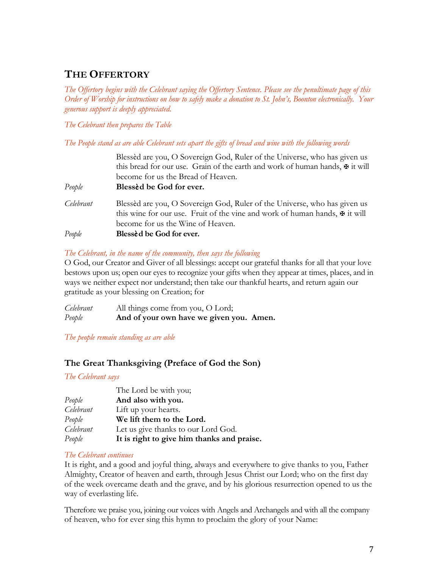# **THE OFFERTORY**

*The Offertory begins with the Celebrant saying the Offertory Sentence. Please see the penultimate page of this Order of Worship for instructions on how to safely make a donation to St. John's, Boonton electronically. Your generous support is deeply appreciated.*

*The Celebrant then prepares the Table*

*The People stand as are able Celebrant sets apart the gifts of bread and wine with the following words*

|           | Blessèd are you, O Sovereign God, Ruler of the Universe, who has given us<br>this bread for our use. Grain of the earth and work of human hands, $\mathbf{\Psi}$ it will<br>become for us the Bread of Heaven. |
|-----------|----------------------------------------------------------------------------------------------------------------------------------------------------------------------------------------------------------------|
| People    | Blessed be God for ever.                                                                                                                                                                                       |
| Celebrant | Blessèd are you, O Sovereign God, Ruler of the Universe, who has given us<br>this wine for our use. Fruit of the vine and work of human hands, $\mathbf{\Psi}$ it will<br>become for us the Wine of Heaven.    |
| People    | Blessèd be God for ever.                                                                                                                                                                                       |

### *The Celebrant, in the name of the community, then says the following*

O God, our Creator and Giver of all blessings: accept our grateful thanks for all that your love bestows upon us; open our eyes to recognize your gifts when they appear at times, places, and in ways we neither expect nor understand; then take our thankful hearts, and return again our gratitude as your blessing on Creation; for

*Celebrant* All things come from you, O Lord; *People* **And of your own have we given you. Amen.**

*The people remain standing as are able*

# **The Great Thanksgiving (Preface of God the Son)**

*The Celebrant says*

|           | The Lord be with you;                      |
|-----------|--------------------------------------------|
| People    | And also with you.                         |
| Celebrant | Lift up your hearts.                       |
| People    | We lift them to the Lord.                  |
| Celebrant | Let us give thanks to our Lord God.        |
| People    | It is right to give him thanks and praise. |

### *The Celebrant continues*

It is right, and a good and joyful thing, always and everywhere to give thanks to you, Father Almighty, Creator of heaven and earth, through Jesus Christ our Lord; who on the first day of the week overcame death and the grave, and by his glorious resurrection opened to us the way of everlasting life.

Therefore we praise you, joining our voices with Angels and Archangels and with all the company of heaven, who for ever sing this hymn to proclaim the glory of your Name: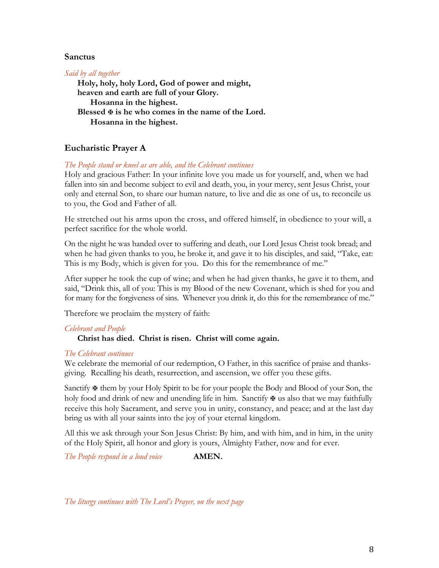#### **Sanctus**

*Said by all together*

**Holy, holy, holy Lord, God of power and might, heaven and earth are full of your Glory. Hosanna in the highest. Blessed** X **is he who comes in the name of the Lord. Hosanna in the highest.**

### **Eucharistic Prayer A**

#### *The People stand or kneel as are able, and the Celebrant continues*

Holy and gracious Father: In your infinite love you made us for yourself, and, when we had fallen into sin and become subject to evil and death, you, in your mercy, sent Jesus Christ, your only and eternal Son, to share our human nature, to live and die as one of us, to reconcile us to you, the God and Father of all.

He stretched out his arms upon the cross, and offered himself, in obedience to your will, a perfect sacrifice for the whole world.

On the night he was handed over to suffering and death, our Lord Jesus Christ took bread; and when he had given thanks to you, he broke it, and gave it to his disciples, and said, "Take, eat: This is my Body, which is given for you. Do this for the remembrance of me."

After supper he took the cup of wine; and when he had given thanks, he gave it to them, and said, "Drink this, all of you: This is my Blood of the new Covenant, which is shed for you and for many for the forgiveness of sins. Whenever you drink it, do this for the remembrance of me."

Therefore we proclaim the mystery of faith:

### *Celebrant and People*

### **Christ has died. Christ is risen. Christ will come again.**

#### *The Celebrant continues*

We celebrate the memorial of our redemption, O Father, in this sacrifice of praise and thanksgiving. Recalling his death, resurrection, and ascension, we offer you these gifts.

Sanctify  $\mathbf{\Psi}$  them by your Holy Spirit to be for your people the Body and Blood of your Son, the holy food and drink of new and unending life in him. Sanctify  $\mathbf{\Psi}$  us also that we may faithfully receive this holy Sacrament, and serve you in unity, constancy, and peace; and at the last day bring us with all your saints into the joy of your eternal kingdom.

All this we ask through your Son Jesus Christ: By him, and with him, and in him, in the unity of the Holy Spirit, all honor and glory is yours, Almighty Father, now and for ever.

*The People respond in a loud voice* **AMEN.** 

*The liturgy continues with The Lord's Prayer, on the next page*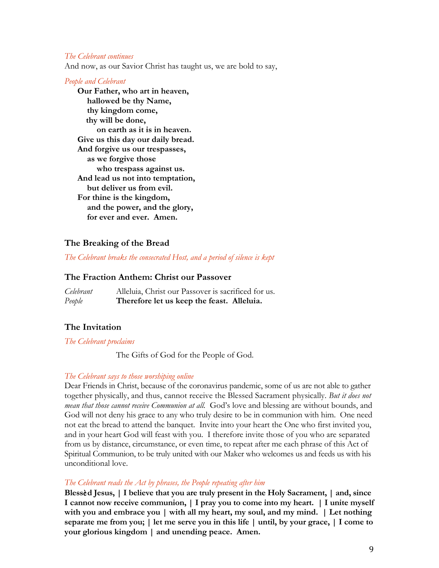#### *The Celebrant continues*

And now, as our Savior Christ has taught us, we are bold to say,

#### *People and Celebrant*

**Our Father, who art in heaven, hallowed be thy Name, thy kingdom come, thy will be done, on earth as it is in heaven. Give us this day our daily bread. And forgive us our trespasses, as we forgive those who trespass against us. And lead us not into temptation, but deliver us from evil. For thine is the kingdom, and the power, and the glory, for ever and ever. Amen.**

#### **The Breaking of the Bread**

*The Celebrant breaks the consecrated Host, and a period of silence is kept*

#### **The Fraction Anthem: Christ our Passover**

*Celebrant* Alleluia, Christ our Passover is sacrificed for us. *People* **Therefore let us keep the feast. Alleluia.**

#### **The Invitation**

*The Celebrant proclaims*

The Gifts of God for the People of God.

#### *The Celebrant says to those worshiping online*

Dear Friends in Christ, because of the coronavirus pandemic, some of us are not able to gather together physically, and thus, cannot receive the Blessed Sacrament physically. *But it does not mean that those cannot receive Communion at all.* God's love and blessing are without bounds, and God will not deny his grace to any who truly desire to be in communion with him. One need not eat the bread to attend the banquet. Invite into your heart the One who first invited you, and in your heart God will feast with you. I therefore invite those of you who are separated from us by distance, circumstance, or even time, to repeat after me each phrase of this Act of Spiritual Communion, to be truly united with our Maker who welcomes us and feeds us with his unconditional love.

#### *The Celebrant reads the Act by phrases, the People repeating after him*

**Bless**è**d Jesus, | I believe that you are truly present in the Holy Sacrament, | and, since I cannot now receive communion, | I pray you to come into my heart. | I unite myself with you and embrace you | with all my heart, my soul, and my mind. | Let nothing separate me from you; | let me serve you in this life | until, by your grace, | I come to your glorious kingdom | and unending peace. Amen.**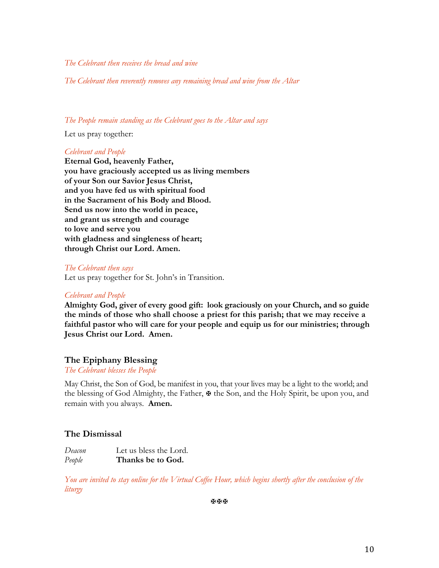#### *The Celebrant then receives the bread and wine*

*The Celebrant then reverently removes any remaining bread and wine from the Altar*

#### *The People remain standing as the Celebrant goes to the Altar and says*

Let us pray together:

#### *Celebrant and People*

**Eternal God, heavenly Father, you have graciously accepted us as living members of your Son our Savior Jesus Christ, and you have fed us with spiritual food in the Sacrament of his Body and Blood. Send us now into the world in peace, and grant us strength and courage to love and serve you with gladness and singleness of heart; through Christ our Lord. Amen.**

#### *The Celebrant then says*

Let us pray together for St. John's in Transition.

#### *Celebrant and People*

**Almighty God, giver of every good gift: look graciously on your Church, and so guide the minds of those who shall choose a priest for this parish; that we may receive a faithful pastor who will care for your people and equip us for our ministries; through Jesus Christ our Lord. Amen.**

#### **The Epiphany Blessing**

*The Celebrant blesses the People*

May Christ, the Son of God, be manifest in you, that your lives may be a light to the world; and the blessing of God Almighty, the Father,  $\mathbf{\Psi}$  the Son, and the Holy Spirit, be upon you, and remain with you always. **Amen.**

### **The Dismissal**

*Deacon* Let us bless the Lord. *People* **Thanks be to God.**

*You are invited to stay online for the Virtual Coffee Hour, which begins shortly after the conclusion of the liturgy*

XXX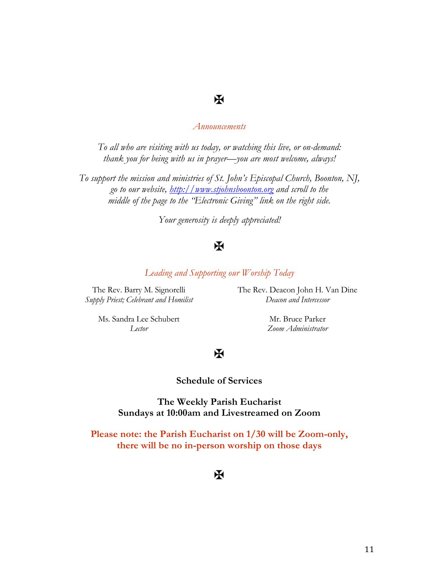# $\mathbf X$

#### *Announcements*

*To all who are visiting with us today, or watching this live, or on-demand: thank you for being with us in prayer—you are most welcome, always!*

*To support the mission and ministries of St. John's Episcopal Church, Boonton, NJ, go to our website, http://www.stjohnsboonton.org and scroll to the middle of the page to the "Electronic Giving" link on the right side.*

*Your generosity is deeply appreciated!*

# X

*Leading and Supporting our Worship Today*

The Rev. Barry M. Signorelli *Supply Priest; Celebrant and Homilist* The Rev. Deacon John H. Van Dine *Deacon and Intercessor*

Ms. Sandra Lee Schubert *Lector*

Mr. Bruce Parker *Zoom Administrator*

# $\mathbf X$

#### **Schedule of Services**

**The Weekly Parish Eucharist Sundays at 10:00am and Livestreamed on Zoom**

**Please note: the Parish Eucharist on 1/30 will be Zoom-only, there will be no in-person worship on those days**

 $\bf{K}$